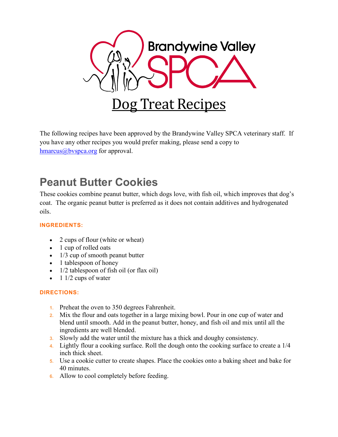

The following recipes have been approved by the Brandywine Valley SPCA veterinary staff. If you have any other recipes you would prefer making, please send a copy to  $hmarus@bvspca.org$  for approval.

# **Peanut Butter Cookies**

These cookies combine peanut butter, which dogs love, with fish oil, which improves that dog's coat. The organic peanut butter is preferred as it does not contain additives and hydrogenated oils.

## **INGREDIENTS:**

- 2 cups of flour (white or wheat)
- 1 cup of rolled oats
- 1/3 cup of smooth peanut butter
- 1 tablespoon of honey
- 1/2 tablespoon of fish oil (or flax oil)
- $\bullet$  1 1/2 cups of water

- **1.** Preheat the oven to 350 degrees Fahrenheit.
- **2.** Mix the flour and oats together in a large mixing bowl. Pour in one cup of water and blend until smooth. Add in the peanut butter, honey, and fish oil and mix until all the ingredients are well blended.
- **3.** Slowly add the water until the mixture has a thick and doughy consistency.
- **4.** Lightly flour a cooking surface. Roll the dough onto the cooking surface to create a 1/4 inch thick sheet.
- **5.** Use a cookie cutter to create shapes. Place the cookies onto a baking sheet and bake for 40 minutes.
- **6.** Allow to cool completely before feeding.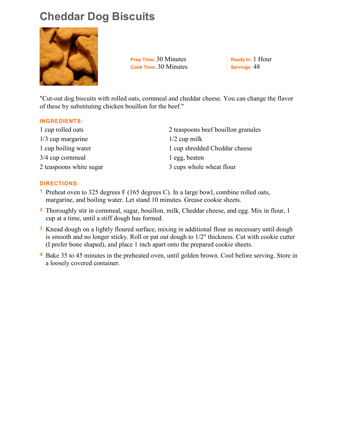# **Cheddar Dog Biscuits**



**Prep Time:** 30 Minutes **Cook Time:** 30 Minutes **Ready In:** 1 Hour **Servings:** 48

"Cut-out dog biscuits with rolled oats, cornmeal and cheddar cheese. You can change the flavor of these by substituting chicken bouillon for the beef."

#### **INGREDIENTS:**

| 1 cup rolled oats       | 2 teaspoons beef bouillon granules |
|-------------------------|------------------------------------|
| $1/3$ cup margarine     | $1/2$ cup milk                     |
| 1 cup boiling water     | 1 cup shredded Cheddar cheese      |
| 3/4 cup cornmeal        | 1 egg, beaten                      |
| 2 teaspoons white sugar | 3 cups whole wheat flour           |

- **1.** Preheat oven to 325 degrees F (165 degrees C). In a large bowl, combine rolled oats, margarine, and boiling water. Let stand 10 minutes. Grease cookie sheets.
- **2.** Thoroughly stir in cornmeal, sugar, bouillon, milk, Cheddar cheese, and egg. Mix in flour, 1 cup at a time, until a stiff dough has formed.
- **3.** Knead dough on a lightly floured surface, mixing in additional flour as necessary until dough is smooth and no longer sticky. Roll or pat out dough to 1/2" thickness. Cut with cookie cutter (I prefer bone shaped), and place 1 inch apart onto the prepared cookie sheets.
- **4.** Bake 35 to 45 minutes in the preheated oven, until golden brown. Cool before serving. Store in a loosely covered container.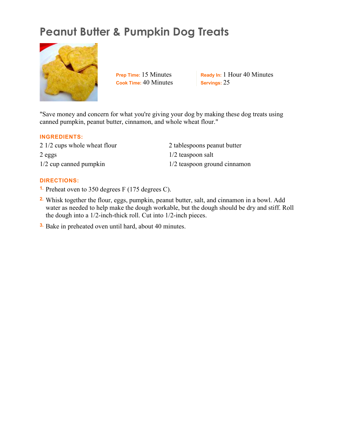# **Peanut Butter & Pumpkin Dog Treats**



**Prep Time:** 15 Minutes **Cook Time:** 40 Minutes

**Ready In:** 1 Hour 40 Minutes **Servings:** 25

"Save money and concern for what you're giving your dog by making these dog treats using canned pumpkin, peanut butter, cinnamon, and whole wheat flour."

#### **INGREDIENTS:**

2 1/2 cups whole wheat flour 2 eggs 1/2 cup canned pumpkin

2 tablespoons peanut butter 1/2 teaspoon salt 1/2 teaspoon ground cinnamon

- **1.** Preheat oven to 350 degrees F (175 degrees C).
- **2.** Whisk together the flour, eggs, pumpkin, peanut butter, salt, and cinnamon in a bowl. Add water as needed to help make the dough workable, but the dough should be dry and stiff. Roll the dough into a 1/2-inch-thick roll. Cut into 1/2-inch pieces.
- **3.** Bake in preheated oven until hard, about 40 minutes.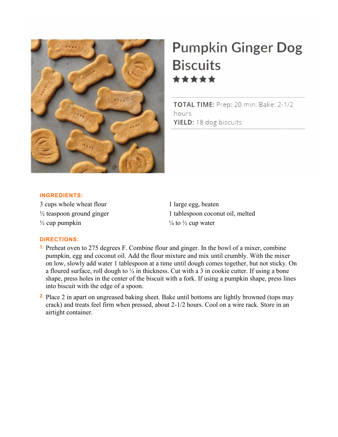

# **Pumpkin Ginger Dog Biscuits** \*\*\*\*\*

TOTAL TIME: Prep: 20 min. Bake: 2-1/2 hours YIELD: 18 dog biscuits

#### **INGREDIENTS:**

3 cups whole wheat flour  $\frac{1}{2}$  teaspoon ground ginger  $\frac{1}{2}$  cup pumpkin

1 large egg, beaten 1 tablespoon coconut oil, melted  $\frac{1}{4}$  to  $\frac{1}{2}$  cup water

- **1.** Preheat oven to 275 degrees F. Combine flour and ginger. In the bowl of a mixer, combine pumpkin, egg and coconut oil. Add the flour mixture and mix until crumbly. With the mixer on low, slowly add water 1 tablespoon at a time until dough comes together, but not sticky. On a floured surface, roll dough to  $\frac{1}{4}$  in thickness. Cut with a 3 in cookie cutter. If using a bone shape, press holes in the center of the biscuit with a fork. If using a pumpkin shape, press lines into biscuit with the edge of a spoon.
- **2.** Place 2 in apart on ungreased baking sheet. Bake until bottoms are lightly browned (tops may crack) and treats feel firm when pressed, about 2-1/2 hours. Cool on a wire rack. Store in an airtight container.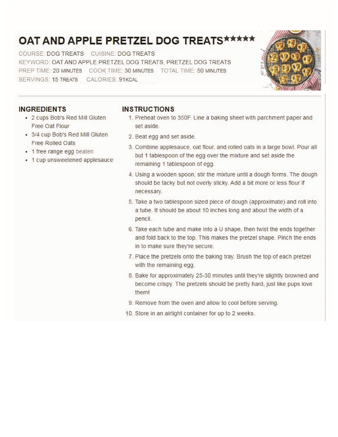# OAT AND APPLE PRETZEL DOG TREATS \*\*\*\*\*

COURSE: DOG TREATS CUISINE: DOG TREATS KEYWORD: OAT AND APPLE PRETZEL DOG TREATS, PRETZEL DOG TREATS PREP TIME: 20 MINUTES COOK TIME: 30 MINUTES TOTAL TIME: 50 MINUTES SERVINGS: 15 TREATS CALORIES: 91KCAL



## **INGREDIENTS**

- 2 cups Bob's Red Mill Gluten Free Oat Flour
- 3/4 cup Bob's Red Mill Gluten Free Rolled Oats
- 1 free range egg beaten
- 1 cup unsweetened applesauce

## **INSTRUCTIONS**

- 1. Preheat oven to 350F. Line a baking sheet with parchment paper and set aside.
- 2. Beat egg and set aside.
- 3. Combine applesauce, oat flour, and rolled oats in a large bowl. Pour all but 1 tablespoon of the egg over the mixture and set aside the remaining 1 tablespoon of egg.
- 4. Using a wooden spoon, stir the mixture until a dough forms. The dough should be tacky but not overly sticky. Add a bit more or less flour if necessary.
- 5. Take a two tablespoon sized piece of dough (approximate) and roll into a tube. It should be about 10 inches long and about the width of a pencil.
- 6. Take each tube and make into a U shape, then twist the ends together and fold back to the top. This makes the pretzel shape. Pinch the ends in to make sure they're secure.
- 7. Place the pretzels onto the baking tray. Brush the top of each pretzel with the remaining egg.
- 8. Bake for approximately 25-30 minutes until they're slightly browned and become crispy. The pretzels should be pretty hard, just like pups love them!
- 9. Remove from the oven and allow to cool before serving.
- 10. Store in an airtight container for up to 2 weeks.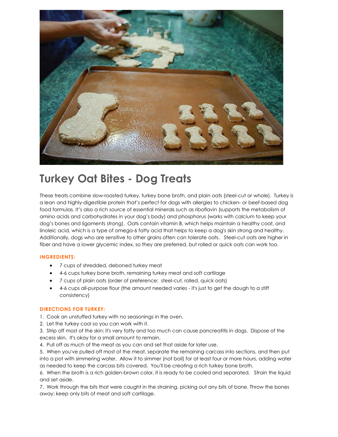

## **Turkey Oat Bites - Dog Treats**

These treats combine slow-roasted turkey, turkey bone broth, and plain oats (steel-cut or whole). Turkey is a lean and highly-digestible protein that's perfect for dogs with allergies to chicken- or beef-based dog food formulas. It's also a rich source of essential minerals such as riboflavin (supports the metabolism of amino acids and carbohydrates in your dog's body) and phosphorus (works with calcium to keep your dog's bones and ligaments strong). Oats contain vitamin B, which helps maintain a healthy coat, and linoleic acid, which is a type of omega-6 fatty acid that helps to keep a dog's skin strong and healthy. Additionally, dogs who are sensitive to other grains often can tolerate oats. Steel-cut oats are higher in fiber and have a lower glycemic index, so they are preferred, but rolled or quick oats can work too.

#### **INGREDIENTS:**

- 7 cups of shredded, deboned turkey meat
- 4-6 cups turkey bone broth, remaining turkey meat and soft cartilage
- 7 cups of plain oats (order of preference: steel-cut, rolled, quick oats)
- 4-6 cups all-purpose flour (the amount needed varies it's just to get the dough to a stiff consistency)

#### **DIRECTIONS FOR TURKEY:**

- 1. Cook an unstuffed turkey with no seasonings in the oven.
- 2. Let the turkey cool so you can work with it.
- 3. Strip off most of the skin; it's very fatty and too much can cause pancreatitis in dogs. Dispose of the excess skin. It's okay for a small amount to remain.
- 4. Pull off as much of the meat as you can and set that aside for later use.
- 5. When you've pulled off most of the meat, separate the remaining carcass into sections, and then put into a pot with simmering water. Allow it to simmer (not boil) for at least four or more hours, adding water as needed to keep the carcass bits covered. You'll be creating a rich turkey bone broth.
- 6. When the broth is a rich golden-brown color, it is ready to be cooled and separated. Strain the liquid and set aside.

7. Work through the bits that were caught in the straining, picking out any bits of bone. Throw the bones away; keep only bits of meat and soft cartilage.